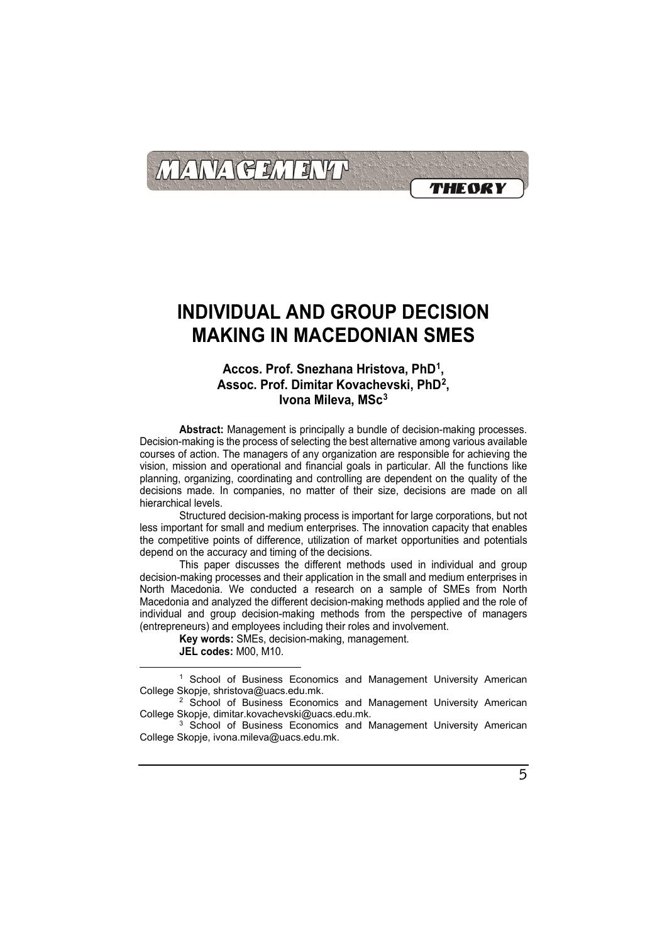

### **Accos. Prof. Snezhana Hristova, PhD[1](#page-0-0) , Assoc. Prof. Dimitar Kovachevski, PhD[2](#page-0-1) , Ivona Mileva, MSc[3](#page-0-2)**

**Abstract:** Management is principally a bundle of decision-making processes. Decision-making is the process of selecting the best alternative among various available courses of action. The managers of any organization are responsible for achieving the vision, mission and operational and financial goals in particular. All the functions like planning, organizing, coordinating and controlling are dependent on the quality of the decisions made. In companies, no matter of their size, decisions are made on all hierarchical levels.

Structured decision-making process is important for large corporations, but not less important for small and medium enterprises. The innovation capacity that enables the competitive points of difference, utilization of market opportunities and potentials depend on the accuracy and timing of the decisions.

This paper discusses the different methods used in individual and group decision-making processes and their application in the small and medium enterprises in North Macedonia. We conducted a research on a sample of SMEs from North Macedonia and analyzed the different decision-making methods applied and the role of individual and group decision-making methods from the perspective of managers (entrepreneurs) and employees including their roles and involvement.

**Key words:** SMEs, decision-making, management.

**JEL codes:** M00, M10.

 $\overline{a}$ 

<span id="page-0-0"></span><sup>1</sup> School of Business Economics and Management University American College Skopje, shristova@uacs.edu.mk.

<span id="page-0-1"></span><sup>2</sup> School of Business Economics and Management University American College Skopje, dimitar.kovachevski@uacs.edu.mk.

<span id="page-0-2"></span><sup>3</sup> School of Business Economics and Management University American College Skopje, ivona.mileva@uacs.edu.mk.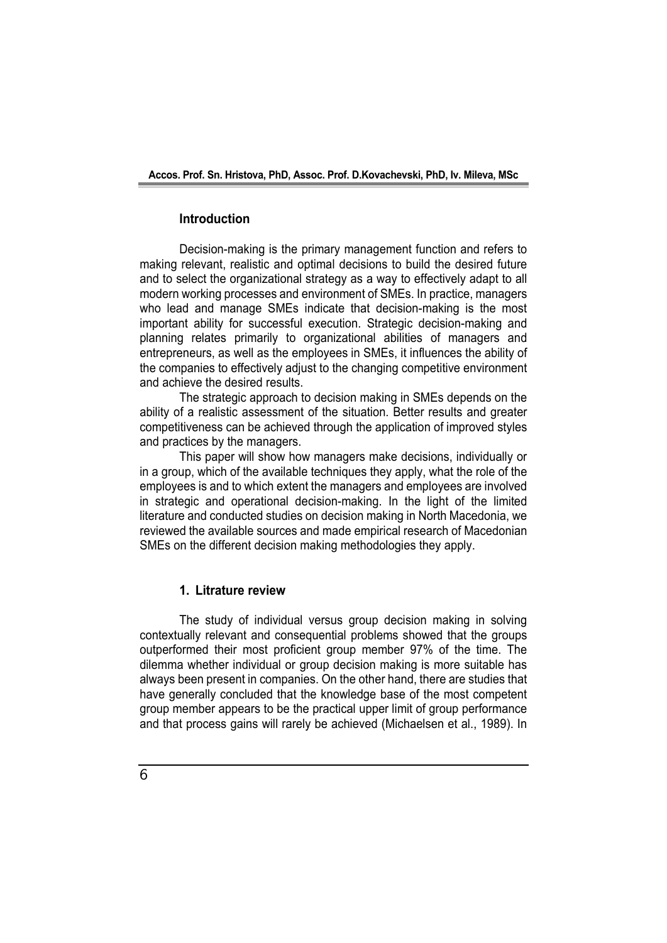### **Introduction**

Decision-making is the primary management function and refers to making relevant, realistic and optimal decisions to build the desired future and to select the organizational strategy as a way to effectively adapt to all modern working processes and environment of SMEs. In practice, managers who lead and manage SMEs indicate that decision-making is the most important ability for successful execution. Strategic decision-making and planning relates primarily to organizational abilities of managers and entrepreneurs, as well as the employees in SMEs, it influences the ability of the companies to effectively adjust to the changing competitive environment and achieve the desired results.

The strategic approach to decision making in SMEs depends on the ability of a realistic assessment of the situation. Better results and greater competitiveness can be achieved through the application of improved styles and practices by the managers.

This paper will show how managers make decisions, individually or in a group, which of the available techniques they apply, what the role of the employees is and to which extent the managers and employees are involved in strategic and operational decision-making. In the light of the limited literature and conducted studies on decision making in North Macedonia, we reviewed the available sources and made empirical research of Macedonian SMEs on the different decision making methodologies they apply.

### **1. Litrature review**

The study of individual versus group decision making in solving contextually relevant and consequential problems showed that the groups outperformed their most proficient group member 97% of the time. The dilemma whether individual or group decision making is more suitable has always been present in companies. On the other hand, there are studies that have generally concluded that the knowledge base of the most competent group member appears to be the practical upper limit of group performance and that process gains will rarely be achieved (Michaelsen et al., 1989). In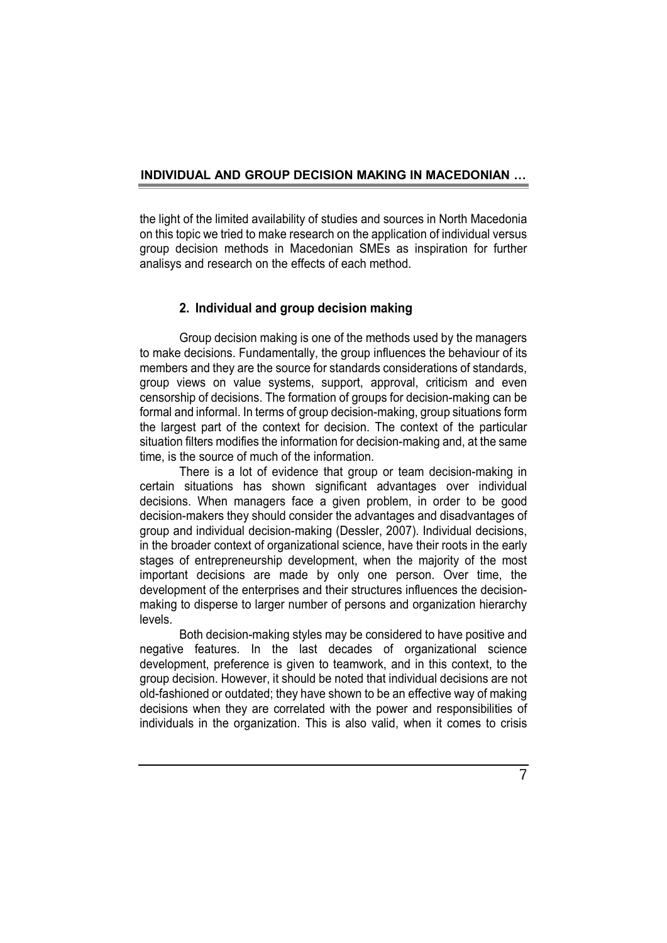the light of the limited availability of studies and sources in North Macedonia on this topic we tried to make research on the application of individual versus group decision methods in Macedonian SMEs as inspiration for further analisys and research on the effects of each method.

### **2. Individual and group decision making**

Group decision making is one of the methods used by the managers to make decisions. Fundamentally, the group influences the behaviour of its members and they are the source for standards considerations of standards, group views on value systems, support, approval, criticism and even censorship of decisions. The formation of groups for decision-making can be formal and informal. In terms of group decision-making, group situations form the largest part of the context for decision. The context of the particular situation filters modifies the information for decision-making and, at the same time, is the source of much of the information.

There is a lot of evidence that group or team decision-making in certain situations has shown significant advantages over individual decisions. When managers face a given problem, in order to be good decision-makers they should consider the advantages and disadvantages of group and individual decision-making (Dessler, 2007). Individual decisions, in the broader context of organizational science, have their roots in the early stages of entrepreneurship development, when the majority of the most important decisions are made by only one person. Over time, the development of the enterprises and their structures influences the decisionmaking to disperse to larger number of persons and organization hierarchy levels.

Both decision-making styles may be considered to have positive and negative features. In the last decades of organizational science development, preference is given to teamwork, and in this context, to the group decision. However, it should be noted that individual decisions are not old-fashioned or outdated; they have shown to be an effective way of making decisions when they are correlated with the power and responsibilities of individuals in the organization. This is also valid, when it comes to crisis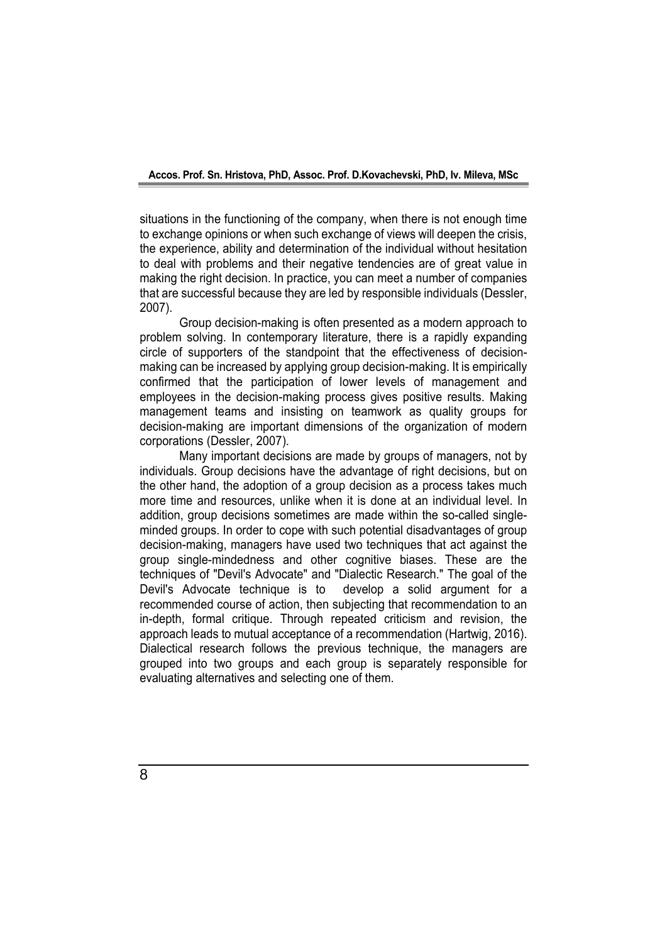situations in the functioning of the company, when there is not enough time to exchange opinions or when such exchange of views will deepen the crisis, the experience, ability and determination of the individual without hesitation to deal with problems and their negative tendencies are of great value in making the right decision. In practice, you can meet a number of companies that are successful because they are led by responsible individuals (Dessler, 2007).

Group decision-making is often presented as a modern approach to problem solving. In contemporary literature, there is a rapidly expanding circle of supporters of the standpoint that the effectiveness of decisionmaking can be increased by applying group decision-making. It is empirically confirmed that the participation of lower levels of management and employees in the decision-making process gives positive results. Making management teams and insisting on teamwork as quality groups for decision-making are important dimensions of the organization of modern corporations (Dessler, 2007).

Many important decisions are made by groups of managers, not by individuals. Group decisions have the advantage of right decisions, but on the other hand, the adoption of a group decision as a process takes much more time and resources, unlike when it is done at an individual level. In addition, group decisions sometimes are made within the so-called singleminded groups. In order to cope with such potential disadvantages of group decision-making, managers have used two techniques that act against the group single-mindedness and other cognitive biases. These are the techniques of "Devil's Advocate" and "Dialectic Research." The goal of the Devil's Advocate technique is to develop a solid argument for a recommended course of action, then subjecting that recommendation to an in-depth, formal critique. Through repeated criticism and revision, the approach leads to mutual acceptance of a recommendation (Hartwig, 2016). Dialectical research follows the previous technique, the managers are grouped into two groups and each group is separately responsible for evaluating alternatives and selecting one of them.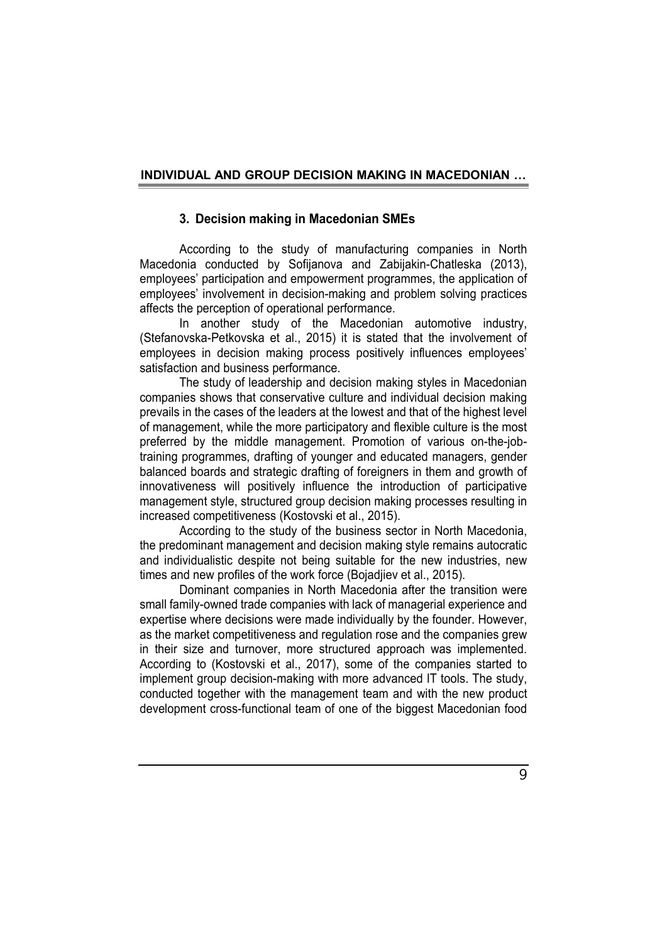### **3. Decision making in Macedonian SMEs**

According to the study of manufacturing companies in North Macedonia conducted by Sofijanova and Zabijakin-Chatleska (2013), employees' participation and empowerment programmes, the application of employees' involvement in decision-making and problem solving practices affects the perception of operational performance.

In another study of the Macedonian automotive industry, (Stefanovska-Petkovska et al., 2015) it is stated that the involvement of employees in decision making process positively influences employees' satisfaction and business performance.

The study of leadership and decision making styles in Macedonian companies shows that conservative culture and individual decision making prevails in the cases of the leaders at the lowest and that of the highest level of management, while the more participatory and flexible culture is the most preferred by the middle management. Promotion of various on-the-jobtraining programmes, drafting of younger and educated managers, gender balanced boards and strategic drafting of foreigners in them and growth of innovativeness will positively influence the introduction of participative management style, structured group decision making processes resulting in increased competitiveness (Kostovski et al., 2015).

According to the study of the business sector in North Macedonia, the predominant management and decision making style remains autocratic and individualistic despite not being suitable for the new industries, new times and new profiles of the work force (Bojadjiev et al., 2015).

Dominant companies in North Macedonia after the transition were small family-owned trade companies with lack of managerial experience and expertise where decisions were made individually by the founder. However, as the market competitiveness and regulation rose and the companies grew in their size and turnover, more structured approach was implemented. According to (Kostovski et al., 2017), some of the companies started to implement group decision-making with more advanced IT tools. The study, conducted together with the management team and with the new product development cross-functional team of one of the biggest Macedonian food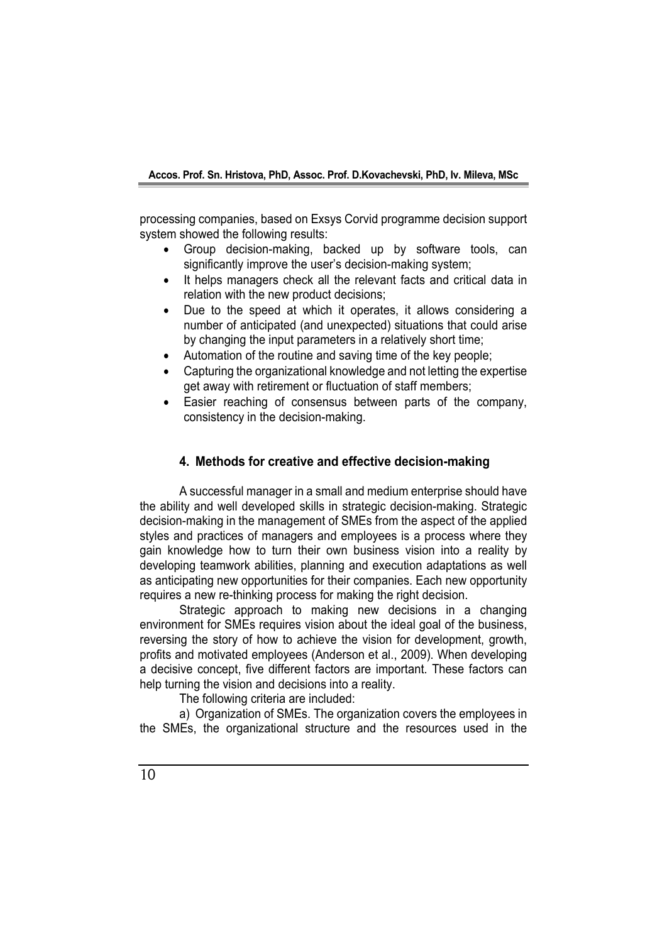processing companies, based on Exsys Corvid programme decision support system showed the following results:

- Group decision-making, backed up by software tools, can significantly improve the user's decision-making system;
- It helps managers check all the relevant facts and critical data in relation with the new product decisions;
- Due to the speed at which it operates, it allows considering a number of anticipated (and unexpected) situations that could arise by changing the input parameters in a relatively short time;
- Automation of the routine and saving time of the key people;
- Capturing the organizational knowledge and not letting the expertise get away with retirement or fluctuation of staff members;
- Easier reaching of consensus between parts of the company, consistency in the decision-making.

### **4. Methods for creative and effective decision-making**

A successful manager in a small and medium enterprise should have the ability and well developed skills in strategic decision-making. Strategic decision-making in the management of SMEs from the aspect of the applied styles and practices of managers and employees is a process where they gain knowledge how to turn their own business vision into a reality by developing teamwork abilities, planning and execution adaptations as well as anticipating new opportunities for their companies. Each new opportunity requires a new re-thinking process for making the right decision.

Strategic approach to making new decisions in a changing environment for SMEs requires vision about the ideal goal of the business, reversing the story of how to achieve the vision for development, growth, profits and motivated employees (Anderson et al., 2009). When developing a decisive concept, five different factors are important. These factors can help turning the vision and decisions into a reality.

The following criteria are included:

a) Organization of SMEs. The organization covers the employees in the SMEs, the organizational structure and the resources used in the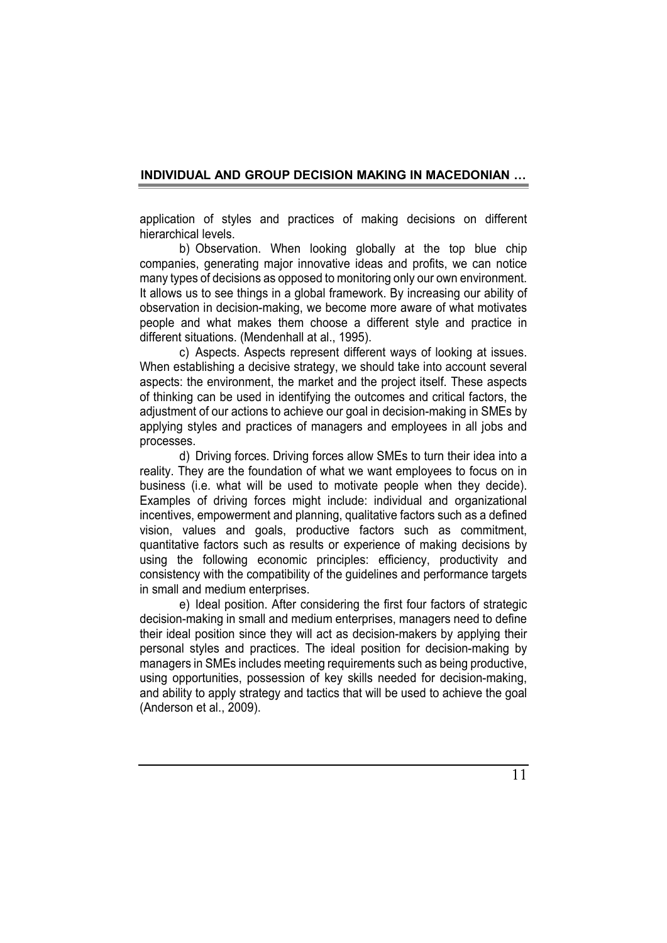application of styles and practices of making decisions on different hierarchical levels.

b) Observation. When looking globally at the top blue chip companies, generating major innovative ideas and profits, we can notice many types of decisions as opposed to monitoring only our own environment. It allows us to see things in a global framework. By increasing our ability of observation in decision-making, we become more aware of what motivates people and what makes them choose a different style and practice in different situations. (Mendenhall at al., 1995).

c) Aspects. Aspects represent different ways of looking at issues. When establishing a decisive strategy, we should take into account several aspects: the environment, the market and the project itself. These aspects of thinking can be used in identifying the outcomes and critical factors, the adjustment of our actions to achieve our goal in decision-making in SMEs by applying styles and practices of managers and employees in all jobs and processes.

d) Driving forces. Driving forces allow SMEs to turn their idea into a reality. They are the foundation of what we want employees to focus on in business (i.e. what will be used to motivate people when they decide). Examples of driving forces might include: individual and organizational incentives, empowerment and planning, qualitative factors such as a defined vision, values and goals, productive factors such as commitment, quantitative factors such as results or experience of making decisions by using the following economic principles: efficiency, productivity and consistency with the compatibility of the guidelines and performance targets in small and medium enterprises.

e) Ideal position. After considering the first four factors of strategic decision-making in small and medium enterprises, managers need to define their ideal position since they will act as decision-makers by applying their personal styles and practices. The ideal position for decision-making by managers in SMEs includes meeting requirements such as being productive, using opportunities, possession of key skills needed for decision-making, and ability to apply strategy and tactics that will be used to achieve the goal (Anderson et al., 2009).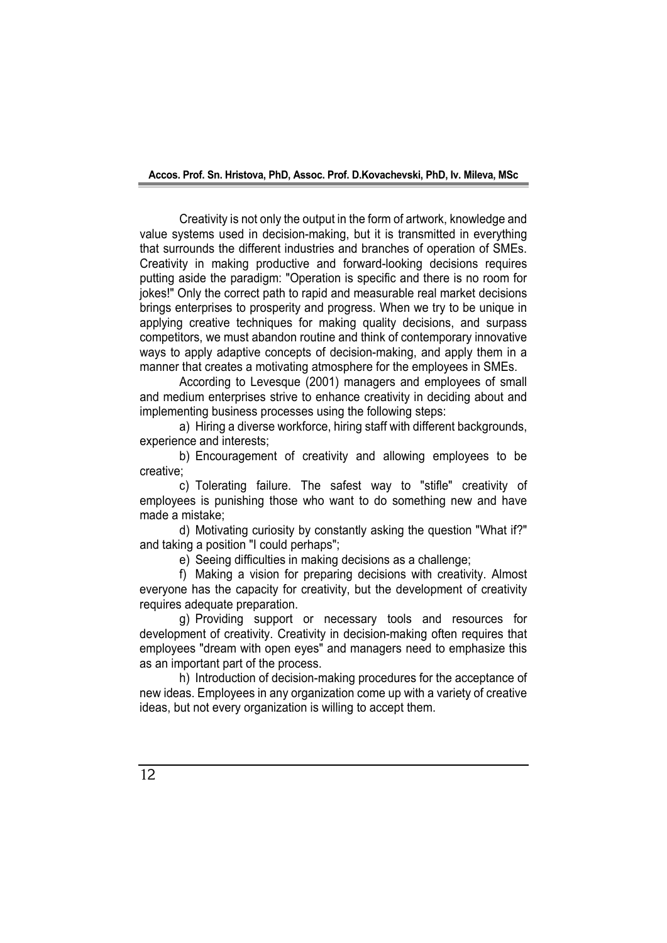Creativity is not only the output in the form of artwork, knowledge and value systems used in decision-making, but it is transmitted in everything that surrounds the different industries and branches of operation of SMEs. Creativity in making productive and forward-looking decisions requires putting aside the paradigm: "Operation is specific and there is no room for jokes!" Only the correct path to rapid and measurable real market decisions brings enterprises to prosperity and progress. When we try to be unique in applying creative techniques for making quality decisions, and surpass competitors, we must abandon routine and think of contemporary innovative ways to apply adaptive concepts of decision-making, and apply them in a manner that creates a motivating atmosphere for the employees in SMEs.

According to Levesque (2001) managers and employees of small and medium enterprises strive to enhance creativity in deciding about and implementing business processes using the following steps:

a) Hiring a diverse workforce, hiring staff with different backgrounds, experience and interests;

b) Encouragement of creativity and allowing employees to be creative;

c) Tolerating failure. The safest way to "stifle" creativity of employees is punishing those who want to do something new and have made a mistake;

d) Motivating curiosity by constantly asking the question "What if?" and taking a position "I could perhaps";

e) Seeing difficulties in making decisions as a challenge;

f) Making a vision for preparing decisions with creativity. Almost everyone has the capacity for creativity, but the development of creativity requires adequate preparation.

g) Providing support or necessary tools and resources for development of creativity. Creativity in decision-making often requires that employees "dream with open eyes" and managers need to emphasize this as an important part of the process.

h) Introduction of decision-making procedures for the acceptance of new ideas. Employees in any organization come up with a variety of creative ideas, but not every organization is willing to accept them.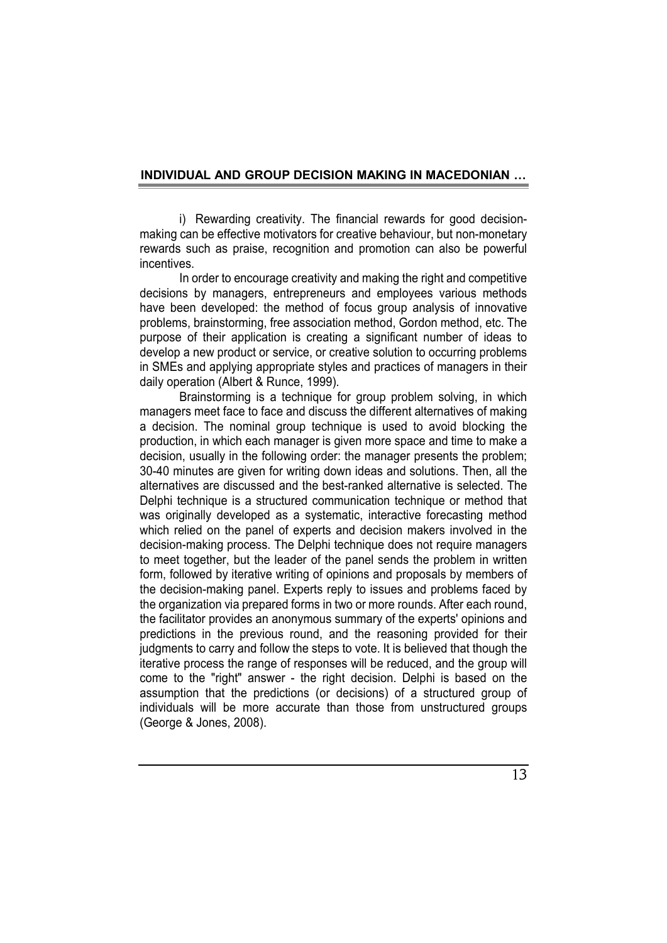i) Rewarding creativity. The financial rewards for good decisionmaking can be effective motivators for creative behaviour, but non-monetary rewards such as praise, recognition and promotion can also be powerful incentives.

In order to encourage creativity and making the right and competitive decisions by managers, entrepreneurs and employees various methods have been developed: the method of focus group analysis of innovative problems, brainstorming, free association method, Gordon method, etc. The purpose of their application is creating a significant number of ideas to develop a new product or service, or creative solution to occurring problems in SMEs and applying appropriate styles and practices of managers in their daily operation (Albert & Runce, 1999).

Brainstorming is a technique for group problem solving, in which managers meet face to face and discuss the different alternatives of making a decision. The nominal group technique is used to avoid blocking the production, in which each manager is given more space and time to make a decision, usually in the following order: the manager presents the problem; 30-40 minutes are given for writing down ideas and solutions. Then, all the alternatives are discussed and the best-ranked alternative is selected. The Delphi technique is a structured communication technique or method that was originally developed as a systematic, interactive forecasting method which relied on the panel of experts and decision makers involved in the decision-making process. The Delphi technique does not require managers to meet together, but the leader of the panel sends the problem in written form, followed by iterative writing of opinions and proposals by members of the decision-making panel. Experts reply to issues and problems faced by the organization via prepared forms in two or more rounds. After each round, the facilitator provides an anonymous summary of the experts' opinions and predictions in the previous round, and the reasoning provided for their judgments to carry and follow the steps to vote. It is believed that though the iterative process the range of responses will be reduced, and the group will come to the "right" answer - the right decision. Delphi is based on the assumption that the predictions (or decisions) of a structured group of individuals will be more accurate than those from unstructured groups (George & Jones, 2008).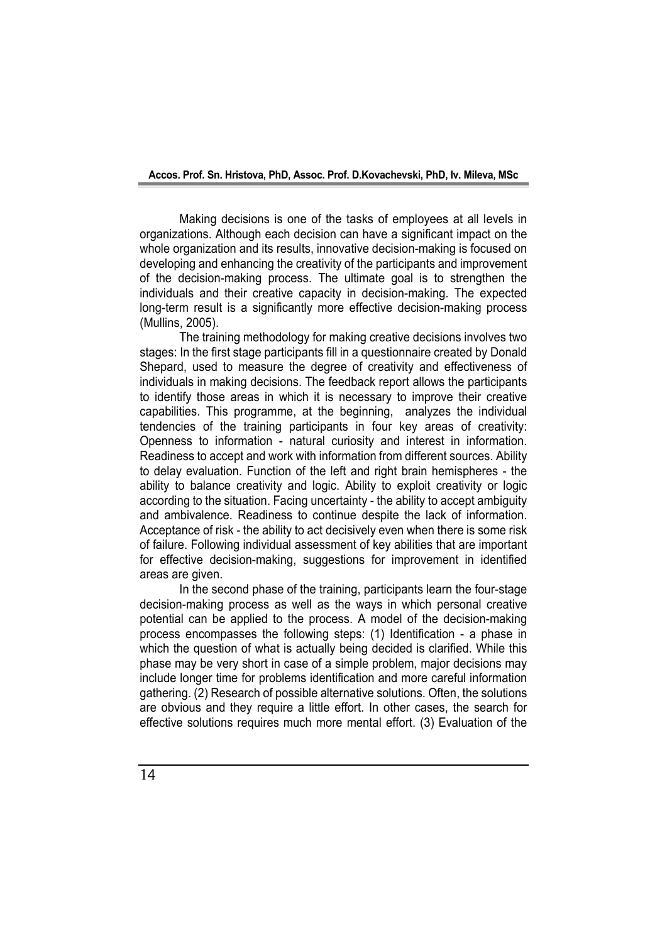Making decisions is one of the tasks of employees at all levels in organizations. Although each decision can have a significant impact on the whole organization and its results, innovative decision-making is focused on developing and enhancing the creativity of the participants and improvement of the decision-making process. The ultimate goal is to strengthen the individuals and their creative capacity in decision-making. The expected long-term result is a significantly more effective decision-making process (Mullins, 2005).

The training methodology for making creative decisions involves two stages: In the first stage participants fill in a questionnaire created by Donald Shepard, used to measure the degree of creativity and effectiveness of individuals in making decisions. The feedback report allows the participants to identify those areas in which it is necessary to improve their creative capabilities. This programme, at the beginning, analyzes the individual tendencies of the training participants in four key areas of creativity: Openness to information - natural curiosity and interest in information. Readiness to accept and work with information from different sources. Ability to delay evaluation. Function of the left and right brain hemispheres - the ability to balance creativity and logic. Ability to exploit creativity or logic according to the situation. Facing uncertainty - the ability to accept ambiguity and ambivalence. Readiness to continue despite the lack of information. Acceptance of risk - the ability to act decisively even when there is some risk of failure. Following individual assessment of key abilities that are important for effective decision-making, suggestions for improvement in identified areas are given.

In the second phase of the training, participants learn the four-stage decision-making process as well as the ways in which personal creative potential can be applied to the process. A model of the decision-making process encompasses the following steps: (1) Identification - a phase in which the question of what is actually being decided is clarified. While this phase may be very short in case of a simple problem, major decisions may include longer time for problems identification and more careful information gathering. (2) Research of possible alternative solutions. Often, the solutions are obvious and they require a little effort. In other cases, the search for effective solutions requires much more mental effort. (3) Evaluation of the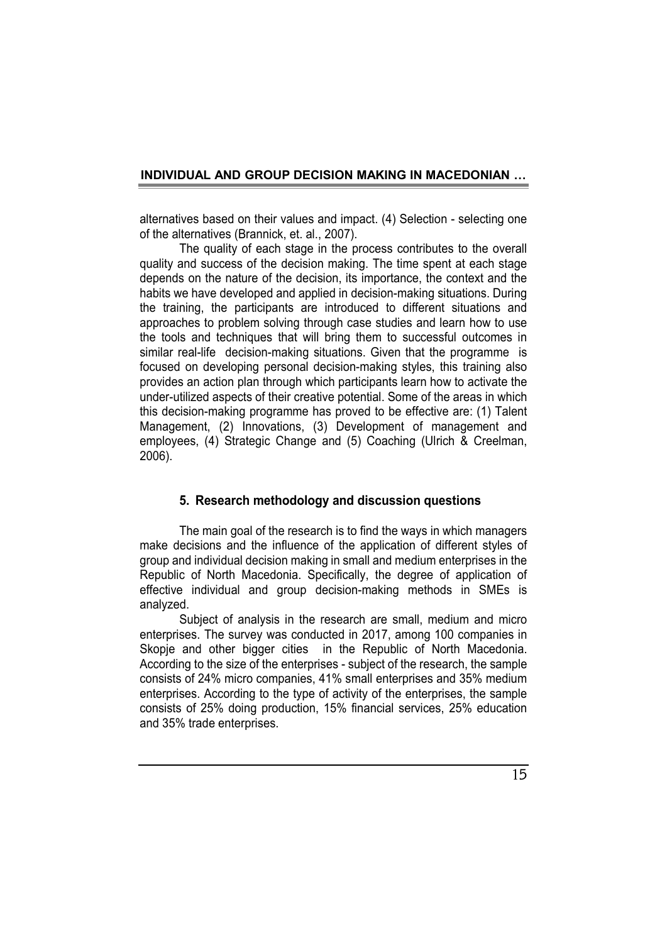alternatives based on their values and impact. (4) Selection - selecting one of the alternatives (Brannick, et. al., 2007).

The quality of each stage in the process contributes to the overall quality and success of the decision making. The time spent at each stage depends on the nature of the decision, its importance, the context and the habits we have developed and applied in decision-making situations. During the training, the participants are introduced to different situations and approaches to problem solving through case studies and learn how to use the tools and techniques that will bring them to successful outcomes in similar real-life decision-making situations. Given that the programme is focused on developing personal decision-making styles, this training also provides an action plan through which participants learn how to activate the under-utilized aspects of their creative potential. Some of the areas in which this decision-making programme has proved to be effective are: (1) Talent Management, (2) Innovations, (3) Development of management and employees, (4) Strategic Change and (5) Coaching (Ulrich & Creelman, 2006).

### **5. Research methodology and discussion questions**

The main goal of the research is to find the ways in which managers make decisions and the influence of the application of different styles of group and individual decision making in small and medium enterprises in the Republic of North Macedonia. Specifically, the degree of application of effective individual and group decision-making methods in SMEs is analyzed.

Subject of analysis in the research are small, medium and micro enterprises. The survey was conducted in 2017, among 100 companies in Skopje and other bigger cities in the Republic of North Macedonia. According to the size of the enterprises - subject of the research, the sample consists of 24% micro companies, 41% small enterprises and 35% medium enterprises. According to the type of activity of the enterprises, the sample consists of 25% doing production, 15% financial services, 25% education and 35% trade enterprises.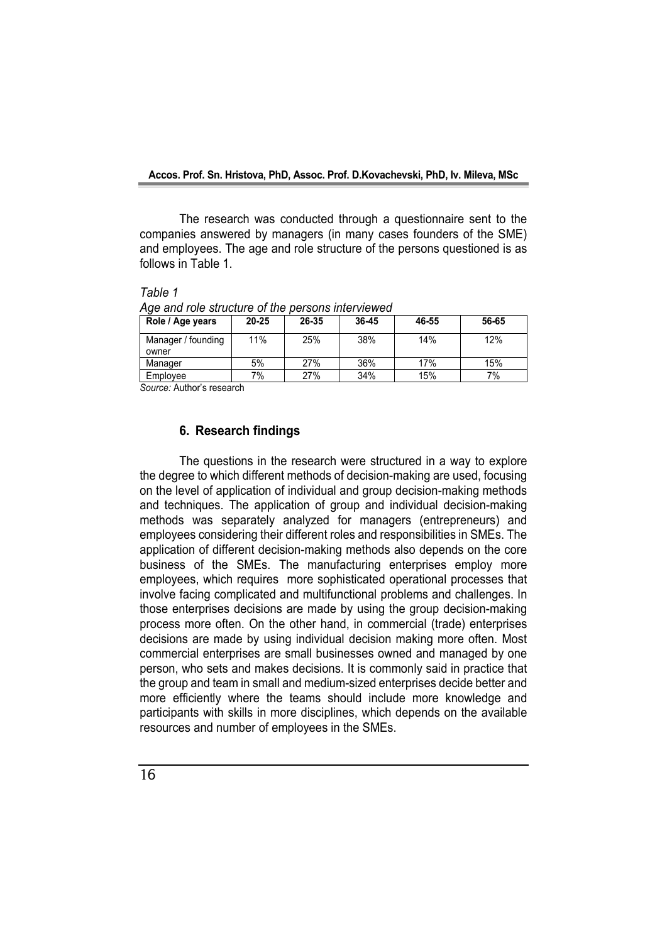The research was conducted through a questionnaire sent to the companies answered by managers (in many cases founders of the SME) and employees. The age and role structure of the persons questioned is as follows in Table 1.

*Table 1* 

*Age and role structure of the persons interviewed*

| Role / Age years   | $20 - 25$ | 26-35 | 36-45 | 46-55 | 56-65 |
|--------------------|-----------|-------|-------|-------|-------|
| Manager / founding | 11%       | 25%   | 38%   | 14%   | 12%   |
| owner              |           |       |       |       |       |
| Manager            | 5%        | 27%   | 36%   | 17%   | 15%   |
| Employee           | 7%        | 27%   | 34%   | 15%   | 7%    |

*Source:* Author's research

### **6. Research findings**

The questions in the research were structured in a way to explore the degree to which different methods of decision-making are used, focusing on the level of application of individual and group decision-making methods and techniques. The application of group and individual decision-making methods was separately analyzed for managers (entrepreneurs) and employees considering their different roles and responsibilities in SMEs. The application of different decision-making methods also depends on the core business of the SMEs. The manufacturing enterprises employ more employees, which requires more sophisticated operational processes that involve facing complicated and multifunctional problems and challenges. In those enterprises decisions are made by using the group decision-making process more often. On the other hand, in commercial (trade) enterprises decisions are made by using individual decision making more often. Most commercial enterprises are small businesses owned and managed by one person, who sets and makes decisions. It is commonly said in practice that the group and team in small and medium-sized enterprises decide better and more efficiently where the teams should include more knowledge and participants with skills in more disciplines, which depends on the available resources and number of employees in the SMEs.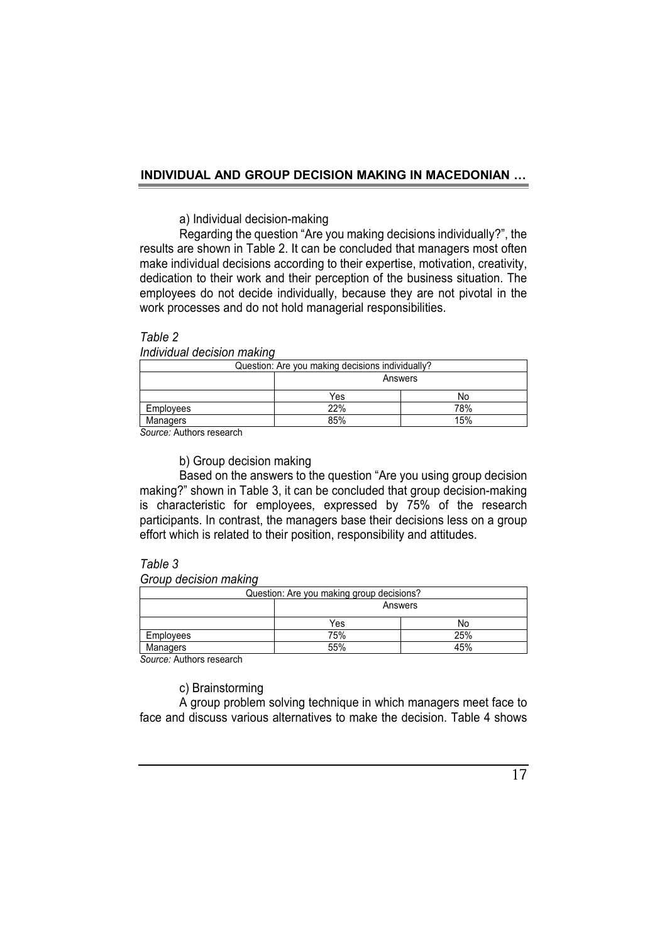### a) Individual decision-making

Regarding the question "Are you making decisions individually?", the results are shown in Table 2. It can be concluded that managers most often make individual decisions according to their expertise, motivation, creativity, dedication to their work and their perception of the business situation. The employees do not decide individually, because they are not pivotal in the work processes and do not hold managerial responsibilities.

### *Table 2*

*Individual decision making*

| Question: Are you making decisions individually? |         |     |  |
|--------------------------------------------------|---------|-----|--|
|                                                  | Answers |     |  |
|                                                  | Yes     | No  |  |
| Employees                                        | 22%     | 78% |  |
| Managers                                         | 85%     | 15% |  |

*Source:* Authors research

### b) Group decision making

Based on the answers to the question "Are you using group decision making?" shown in Table 3, it can be concluded that group decision-making is characteristic for employees, expressed by 75% of the research participants. In contrast, the managers base their decisions less on a group effort which is related to their position, responsibility and attitudes.

### *Table 3*

*Group decision making*

| Question: Are you making group decisions? |         |     |  |
|-------------------------------------------|---------|-----|--|
|                                           | Answers |     |  |
|                                           | Yes     | No  |  |
| Employees                                 | 75%     | 25% |  |
| Managers                                  | 55%     | 45% |  |
| $\sim$ $\sim$ $\sim$                      |         |     |  |

*Source:* Authors research

c) Brainstorming

A group problem solving technique in which managers meet face to face and discuss various alternatives to make the decision. Table 4 shows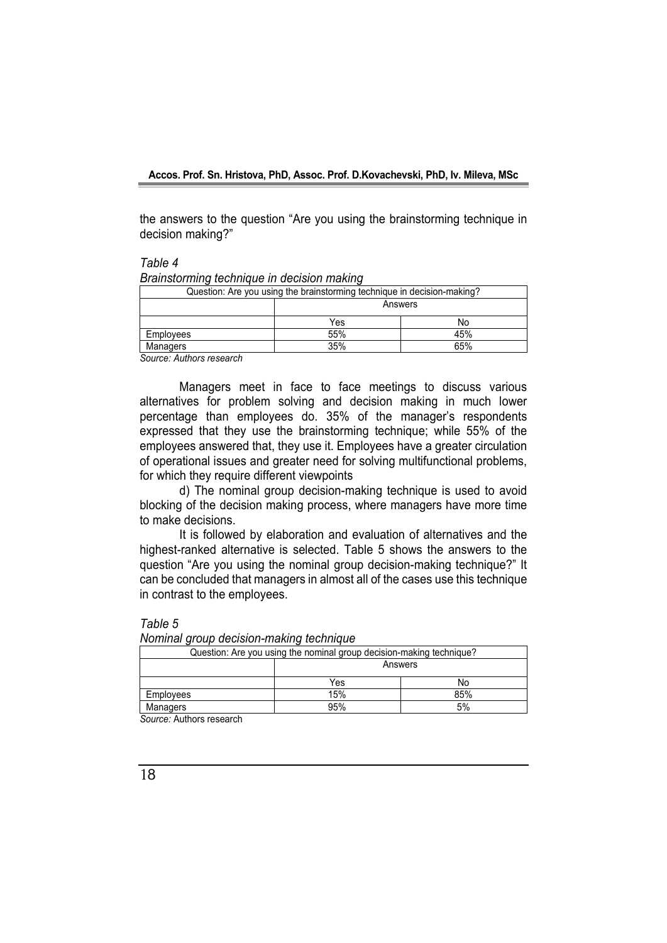the answers to the question "Are you using the brainstorming technique in decision making?"

*Table 4*

*Brainstorming technique in decision making*

| Question: Are you using the brainstorming technique in decision-making? |         |     |
|-------------------------------------------------------------------------|---------|-----|
|                                                                         | Answers |     |
|                                                                         | Yes     | No  |
| Employees                                                               | 55%     | 45% |
| Managers<br>$\sim$ $\sim$                                               | 35%     | 65% |

*Source: Authors research*

Managers meet in face to face meetings to discuss various alternatives for problem solving and decision making in much lower percentage than employees do. 35% of the manager's respondents expressed that they use the brainstorming technique; while 55% of the employees answered that, they use it. Employees have a greater circulation of operational issues and greater need for solving multifunctional problems, for which they require different viewpoints

d) The nominal group decision-making technique is used to avoid blocking of the decision making process, where managers have more time to make decisions.

It is followed by elaboration and evaluation of alternatives and the highest-ranked alternative is selected. Table 5 shows the answers to the question "Are you using the nominal group decision-making technique?" It can be concluded that managers in almost all of the cases use this technique in contrast to the employees.

*Table 5*

*Nominal group decision-making technique*

| Question: Are you using the nominal group decision-making technique? |         |     |
|----------------------------------------------------------------------|---------|-----|
|                                                                      | Answers |     |
|                                                                      | Yes     | No  |
| <b>Employees</b>                                                     | 15%     | 85% |
| <b>Managers</b>                                                      | 95%     | 5%  |
| .                                                                    |         |     |

*Source:* Authors research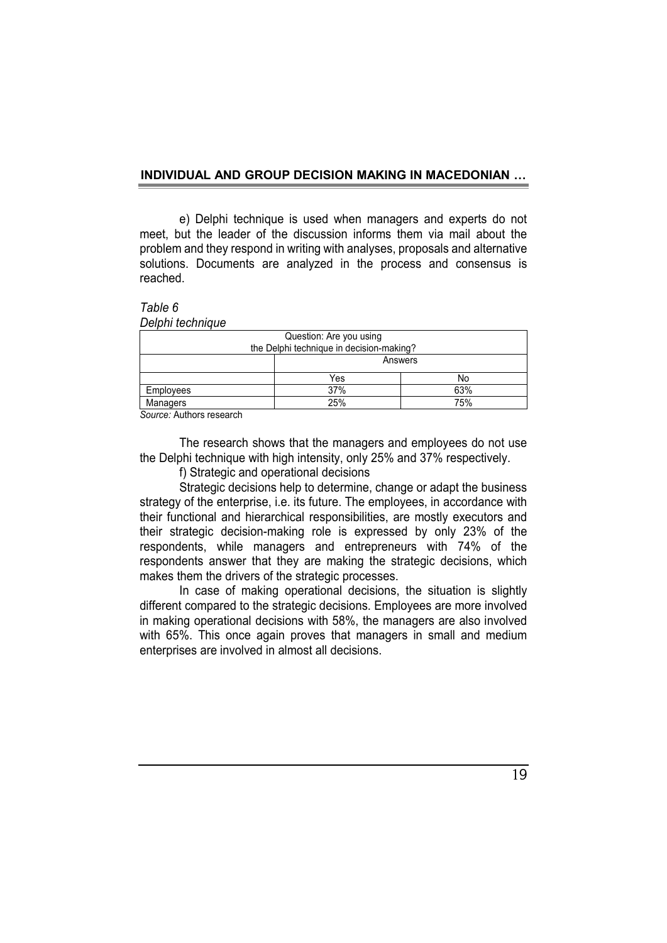e) Delphi technique is used when managers and experts do not meet, but the leader of the discussion informs them via mail about the problem and they respond in writing with analyses, proposals and alternative solutions. Documents are analyzed in the process and consensus is reached.

*Table 6*

|  | Delphi technique |
|--|------------------|
|  |                  |

| Question: Are you using                  |         |     |  |
|------------------------------------------|---------|-----|--|
| the Delphi technique in decision-making? |         |     |  |
|                                          | Answers |     |  |
|                                          | Yes     | No  |  |
| Employees                                | 37%     | 63% |  |
| Managers                                 | 25%     | 75% |  |

*Source:* Authors research

The research shows that the managers and employees do not use the Delphi technique with high intensity, only 25% and 37% respectively.

f) Strategic and operational decisions

Strategic decisions help to determine, change or adapt the business strategy of the enterprise, i.e. its future. The employees, in accordance with their functional and hierarchical responsibilities, are mostly executors and their strategic decision-making role is expressed by only 23% of the respondents, while managers and entrepreneurs with 74% of the respondents answer that they are making the strategic decisions, which makes them the drivers of the strategic processes.

In case of making operational decisions, the situation is slightly different compared to the strategic decisions. Employees are more involved in making operational decisions with 58%, the managers are also involved with 65%. This once again proves that managers in small and medium enterprises are involved in almost all decisions.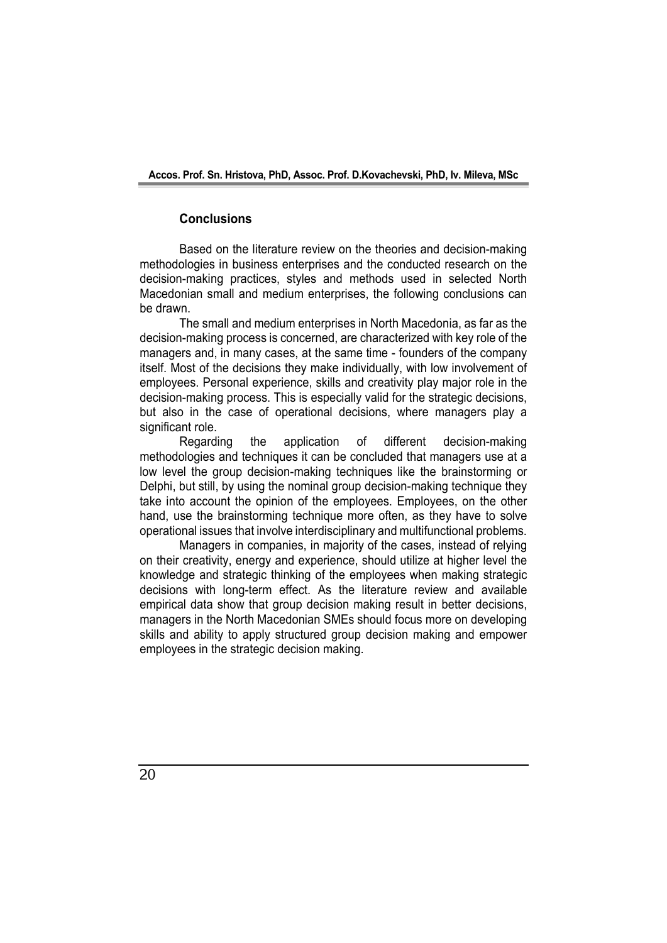### **Conclusions**

Based on the literature review on the theories and decision-making methodologies in business enterprises and the conducted research on the decision-making practices, styles and methods used in selected North Macedonian small and medium enterprises, the following conclusions can be drawn.

The small and medium enterprises in North Macedonia, as far as the decision-making process is concerned, are characterized with key role of the managers and, in many cases, at the same time - founders of the company itself. Most of the decisions they make individually, with low involvement of employees. Personal experience, skills and creativity play major role in the decision-making process. This is especially valid for the strategic decisions, but also in the case of operational decisions, where managers play a significant role.

Regarding the application of different decision-making methodologies and techniques it can be concluded that managers use at a low level the group decision-making techniques like the brainstorming or Delphi, but still, by using the nominal group decision-making technique they take into account the opinion of the employees. Employees, on the other hand, use the brainstorming technique more often, as they have to solve operational issues that involve interdisciplinary and multifunctional problems.

Managers in companies, in majority of the cases, instead of relying on their creativity, energy and experience, should utilize at higher level the knowledge and strategic thinking of the employees when making strategic decisions with long-term effect. As the literature review and available empirical data show that group decision making result in better decisions, managers in the North Macedonian SMEs should focus more on developing skills and ability to apply structured group decision making and empower employees in the strategic decision making.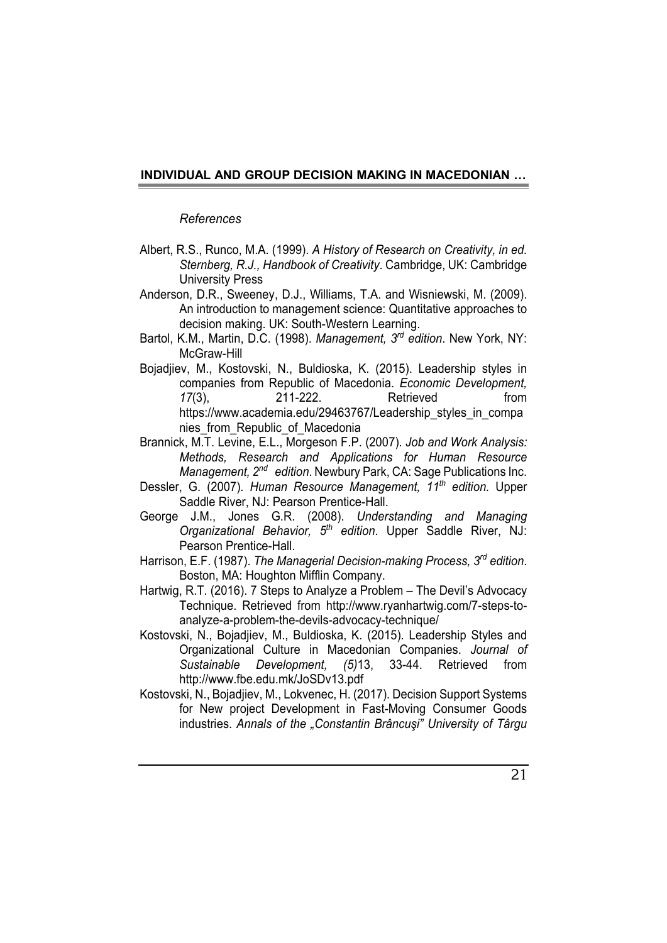### *References*

- Albert, R.S., Runcо, M.A. (1999). *A History of Research on Creativity, in ed. Sternberg, R.J., Handbook of Creativity*. Cambridge, UK: Cambridge University Press
- Anderson, D.R., Sweeney, D.J., Williams, T.A. and Wisniewski, M. (2009). An introduction to management science: Quantitative approaches to decision making. UK: South-Western Learning.
- Bartol, K.M., Martin, D.C. (1998). *Management, 3 rd edition*. New York, NY: McGraw-Hill
- Bojadjiev, M., Kostovski, N., Buldioska, K. (2015). Leadership styles in companies from Republic of Macedonia. *Economic Development, 17*(3), 211-222. Retrieved from https://www.academia.edu/29463767/Leadership\_styles\_in\_compa nies from Republic of Macedonia
- Brannick, M.T. Levine, E.L., Morgeson F.P. (2007). *Job and Work Analysis: Methods, Research and Applications for Human Resource Management, 2<sup>nd</sup> edition*. Newbury Park, CA: Sage Publications Inc.
- Dessler, G. (2007). *Human Resource Management, 11th edition.* Upper Saddle River, NJ: Pearson Prentice-Hall.
- George J.M., Jones G.R. (2008). *Understanding and Managing Organizational Behavior, 5th edition*. Upper Saddle River, NJ: Pearson Prentice-Hall.
- Harrison, E.F. (1987). *The Managerial Decision-making Process, 3 rd edition*. Boston, MA: Houghton Mifflin Company.
- Hartwig, R.T. (2016). 7 Steps to Analyze a Problem The Devil's Advocacy Technique. Retrieved from http://www.ryanhartwig.com/7-steps-toanalyze-a-problem-the-devils-advocacy-technique/
- Kostovski, N., Bojadjiev, M., Buldioska, K. (2015). Leadership Styles and Organizational Culture in Macedonian Companies. *Journal of Sustainable Development, (5)*13, 33-44. Retrieved from http://www.fbe.edu.mk/JoSDv13.pdf
- Kostovski, N., Bojadjiev, M., Lokvenec, H. (2017). Decision Support Systems for New project Development in Fast-Moving Consumer Goods industries. *Annals of the "Constantin Brâncuşi" University of Târgu*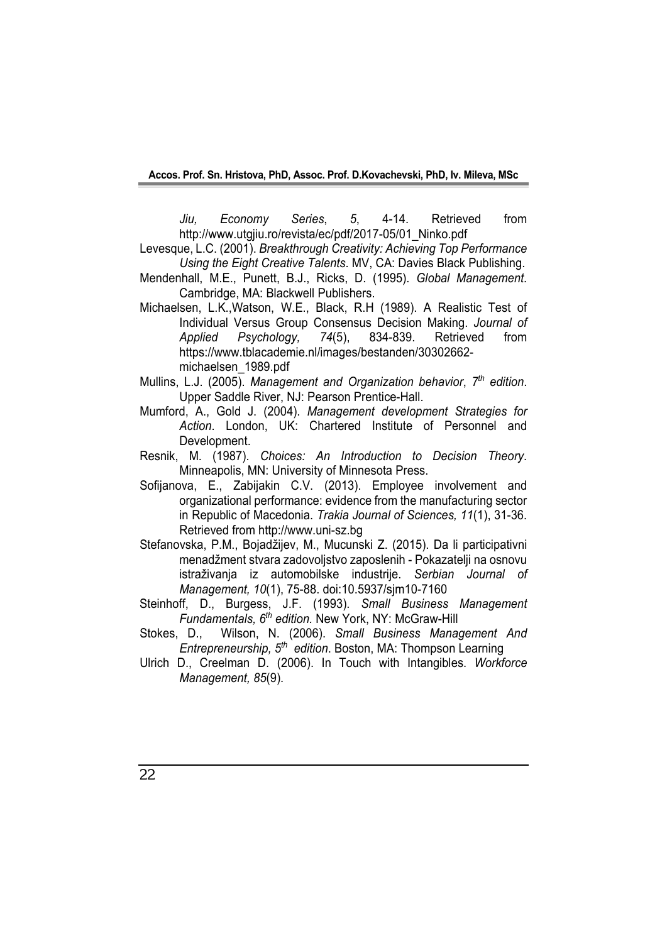*Jiu, Economy Series*, *5*, 4-14. Retrieved from http://www.utgjiu.ro/revista/ec/pdf/2017-05/01\_Ninko.pdf

Levesque, L.C. (2001). *Breakthrough Creativity: Achieving Top Performance Using the Eight Creative Talents*. MV, CA: Davies Black Publishing.

Mendenhall, M.E., Punett, B.J., Ricks, D. (1995). *Global Management*. Cambridge, MA: Blackwell Publishers.

- Michaelsen, L.K.,Watson, W.E., Black, R.H (1989). A Realistic Test of Individual Versus Group Consensus Decision Making. *Journal of Applied Psychology, 74*(5), 834-839. Retrieved from https://www.tblacademie.nl/images/bestanden/30302662 michaelsen\_1989.pdf
- Mullins, L.J. (2005). *Management аnd Organization behavior*, *7 th edition*. Upper Saddle River, NJ: Pearson Prentice-Hall.
- Mumford, A., Gold J. (2004). *Management development Strategies for Action*. London, UK: Chartered Institute of Personnel and Development.
- Resnik, M. (1987). *Choices: An Introduction to Decision Theory*. Minneapolis, MN: University of Minnesota Press.
- Sofijanova, E., Zabijakin C.V. (2013). Employee involvement and organizational performance: evidence from the manufacturing sector in Republic of Macedonia. *Trakia Journal of Sciences, 11*(1), 31-36. Retrieved from http://www.uni-sz.bg
- Stefanovska, P.M., Bojadžijev, M., Mucunski Z. (2015). Da li participativni menadžment stvara zadovoljstvo zaposlenih - Pokazatelji na osnovu istraživanja iz automobilske industrije. *Serbian Journal of Management, 10*(1), 75-88. doi:10.5937/sjm10-7160
- Steinhoff, D., Burgess, J.F. (1993). *Small Business Management Fundamentals, 6th edition.* New York, NY: McGraw-Hill
- Stokes, D., Wilson, N. (2006). *Small Business Management And Entrepreneurship, 5<sup>th</sup> edition*. Boston, MA: Thompson Learning
- Ulrich D., Creelman D. (2006). In Touch with Intangibles. *Workforce Management, 85*(9).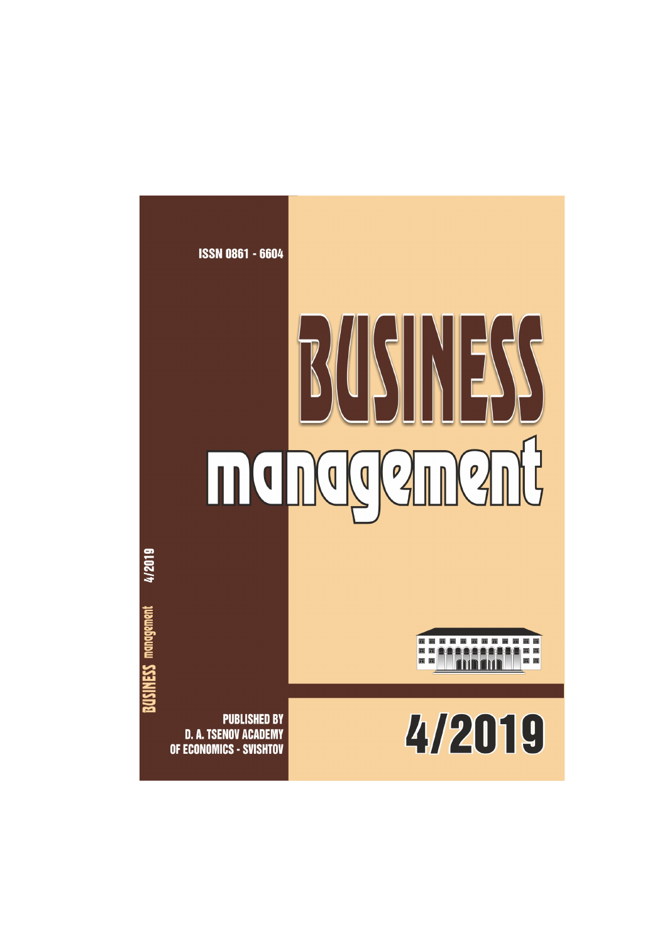# **ISSN 0861 - 6604** BUSINESS HONGGANGUG

8888888888  $\Box$   $\Box$  $\Box$  $\Box$ 

4/2019

**PUBLISHED BY D. A. TSENOV ACADEMY** OF ECONOMICS - SVISHTOV

4/2019

**BUSINESS management**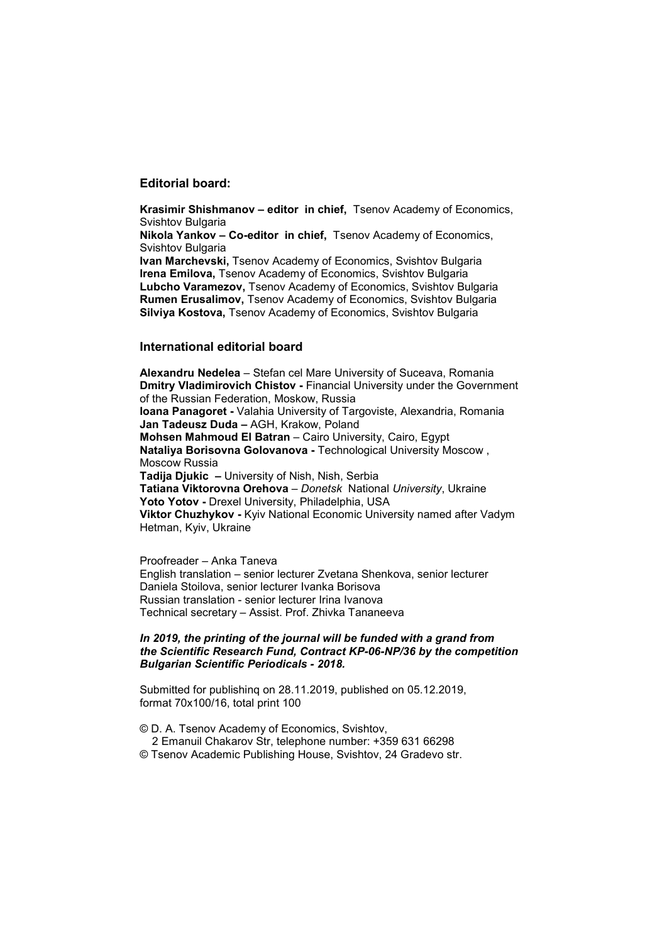### **Editorial board:**

**Krasimir Shishmanov – editor in chief,** Tsenov Academy of Economics, Svishtov Bulgaria

**Nikola Yankov – Co-editor in chief,** Tsenov Academy of Economics, Svishtov Bulgaria

**Ivan Marchevski,** Tsenov Academy of Economics, Svishtov Bulgaria **Irena Emilova,** Tsenov Academy of Economics, Svishtov Bulgaria **Lubcho Varamezov,** Tsenov Academy of Economics, Svishtov Bulgaria **Rumen Erusalimov,** Tsenov Academy of Economics, Svishtov Bulgaria **Silviya Kostova,** Tsenov Academy of Economics, Svishtov Bulgaria

### **International editorial board**

**Alexandru Nedelea** – Stefan cel Mare University of Suceava, Romania **Dmitry Vladimirovich Chistov -** Financial University under the Government of the Russian Federation, Moskow, Russia **Ioana Panagoret -** Valahia University of Targoviste, Alexandria, Romania **Jan Tadeusz Duda –** AGH, Krakow, Poland **Mohsen Mahmoud El Batran** – Cairo University, Cairo, Egypt **Nataliya Borisovna Golovanova -** Technological University Moscow , Moscow Russia **Tadija Djukic –** University of Nish, Nish, Serbia **Tatiana Viktorovna Orehova** – *Donetsk* National *University*, Ukraine **Yoto Yotov -** Drexel University, Philadelphia, USA **Viktor Chuzhykov -** Kyiv National Economic University named after Vadym Hetman, Kyiv, Ukraine

Proofreader – Anka Taneva English translation – senior lecturer Zvetana Shenkova, senior lecturer Daniela Stoilova, senior lecturer Ivanka Borisova Russian translation - senior lecturer Irina Ivanova Technical secretary – Assist. Prof. Zhivka Tananeeva

### *In 2019, the printing of the journal will be funded with a grand from the Scientific Research Fund, Contract KP-06-NP/36 by the competition Bulgarian Scientific Periodicals - 2018.*

Submitted for publishinq on 28.11.2019, published on 05.12.2019, format 70x100/16, total print 100

© D. A. Tsenov Academy of Economics, Svishtov,

- 2 Emanuil Chakarov Str, telephone number: +359 631 66298
- © Tsenov Academic Publishing House, Svishtov, 24 Gradevo str.